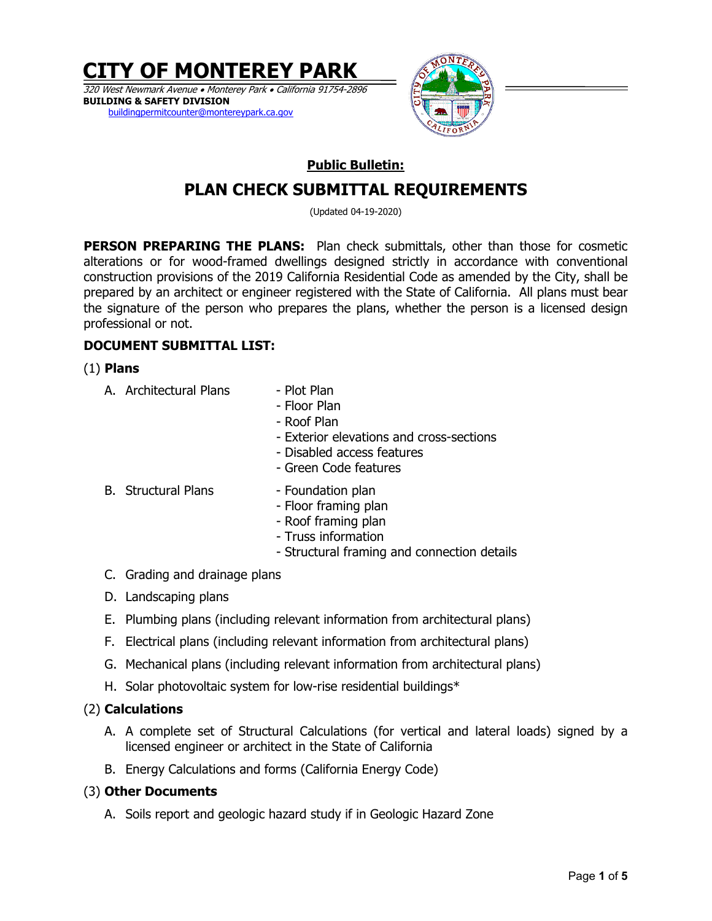**CITY OF MONTEREY PARK** 

320 West Newmark Avenue Monterey Park California 91754-2896 **BUILDING & SAFETY DIVISION**  buildingpermitcounter@montereypark.ca.gov



# **Public Bulletin:**

# **PLAN CHECK SUBMITTAL REQUIREMENTS**

(Updated 04-19-2020)

**PERSON PREPARING THE PLANS:** Plan check submittals, other than those for cosmetic alterations or for wood-framed dwellings designed strictly in accordance with conventional construction provisions of the 2019 California Residential Code as amended by the City, shall be prepared by an architect or engineer registered with the State of California. All plans must bear the signature of the person who prepares the plans, whether the person is a licensed design professional or not.

# **DOCUMENT SUBMITTAL LIST:**

# (1) **Plans**

- A. Architectural Plans Plot Plan
	- Floor Plan
	- Roof Plan
	- Exterior elevations and cross-sections
	- Disabled access features
	- Green Code features
- B. Structural Plans Foundation plan
	- Floor framing plan
	- Roof framing plan
	- Truss information
	- Structural framing and connection details
- C. Grading and drainage plans
- D. Landscaping plans
- E. Plumbing plans (including relevant information from architectural plans)
- F. Electrical plans (including relevant information from architectural plans)
- G. Mechanical plans (including relevant information from architectural plans)
- H. Solar photovoltaic system for low-rise residential buildings\*

# (2) **Calculations**

- A. A complete set of Structural Calculations (for vertical and lateral loads) signed by a licensed engineer or architect in the State of California
- B. Energy Calculations and forms (California Energy Code)

# (3) **Other Documents**

A. Soils report and geologic hazard study if in Geologic Hazard Zone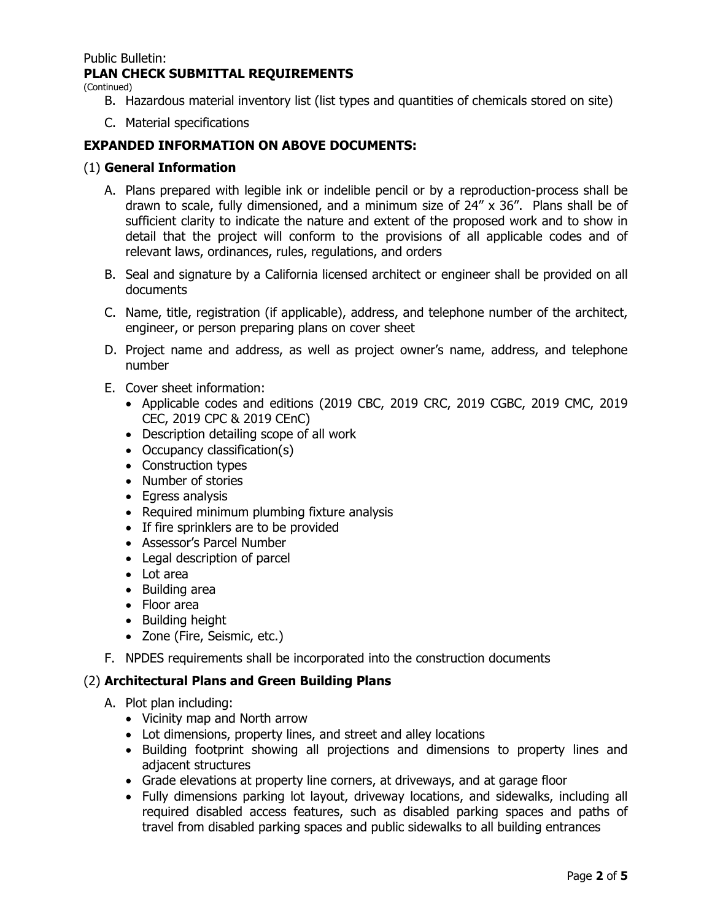Public Bulletin:

# **PLAN CHECK SUBMITTAL REQUIREMENTS**

(Continued)

- B. Hazardous material inventory list (list types and quantities of chemicals stored on site)
- C. Material specifications

## **EXPANDED INFORMATION ON ABOVE DOCUMENTS:**

- (1) **General Information**
	- A. Plans prepared with legible ink or indelible pencil or by a reproduction-process shall be drawn to scale, fully dimensioned, and a minimum size of 24" x 36". Plans shall be of sufficient clarity to indicate the nature and extent of the proposed work and to show in detail that the project will conform to the provisions of all applicable codes and of relevant laws, ordinances, rules, regulations, and orders
	- B. Seal and signature by a California licensed architect or engineer shall be provided on all documents
	- C. Name, title, registration (if applicable), address, and telephone number of the architect, engineer, or person preparing plans on cover sheet
	- D. Project name and address, as well as project owner's name, address, and telephone number
	- E. Cover sheet information:
		- Applicable codes and editions (2019 CBC, 2019 CRC, 2019 CGBC, 2019 CMC, 2019 CEC, 2019 CPC & 2019 CEnC)
		- Description detailing scope of all work
		- Occupancy classification(s)
		- Construction types
		- Number of stories
		- Egress analysis
		- Required minimum plumbing fixture analysis
		- If fire sprinklers are to be provided
		- Assessor's Parcel Number
		- Legal description of parcel
		- Lot area
		- Building area
		- Floor area
		- Building height
		- Zone (Fire, Seismic, etc.)
	- F. NPDES requirements shall be incorporated into the construction documents

## (2) **Architectural Plans and Green Building Plans**

- A. Plot plan including:
	- Vicinity map and North arrow
	- Lot dimensions, property lines, and street and alley locations
	- Building footprint showing all projections and dimensions to property lines and adjacent structures
	- Grade elevations at property line corners, at driveways, and at garage floor
	- Fully dimensions parking lot layout, driveway locations, and sidewalks, including all required disabled access features, such as disabled parking spaces and paths of travel from disabled parking spaces and public sidewalks to all building entrances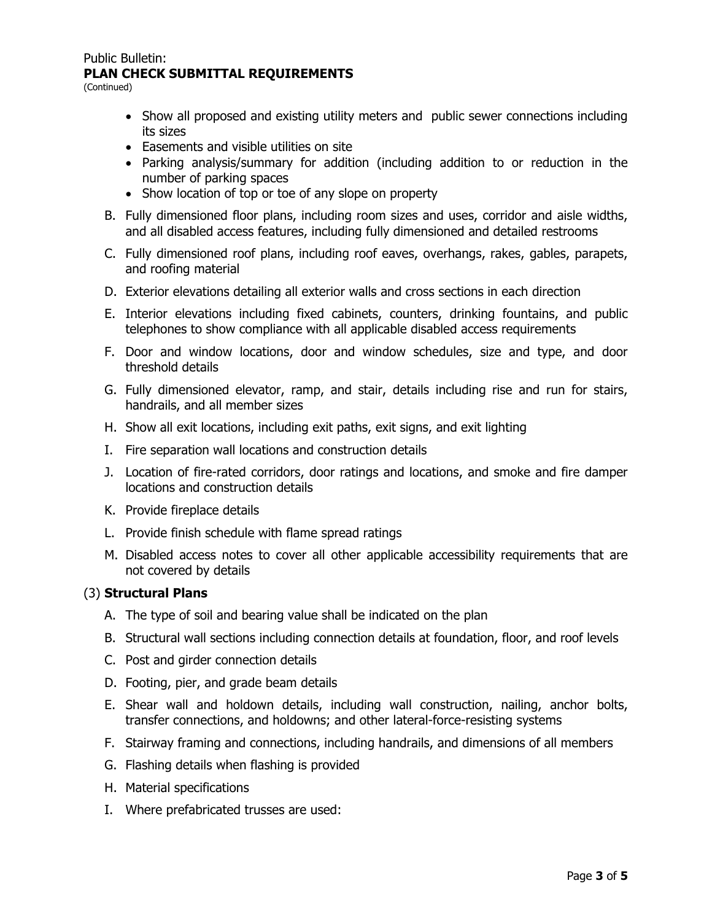#### Public Bulletin: **PLAN CHECK SUBMITTAL REQUIREMENTS**

(Continued)

- Show all proposed and existing utility meters and public sewer connections including its sizes
- Easements and visible utilities on site
- Parking analysis/summary for addition (including addition to or reduction in the number of parking spaces
- Show location of top or toe of any slope on property
- B. Fully dimensioned floor plans, including room sizes and uses, corridor and aisle widths, and all disabled access features, including fully dimensioned and detailed restrooms
- C. Fully dimensioned roof plans, including roof eaves, overhangs, rakes, gables, parapets, and roofing material
- D. Exterior elevations detailing all exterior walls and cross sections in each direction
- E. Interior elevations including fixed cabinets, counters, drinking fountains, and public telephones to show compliance with all applicable disabled access requirements
- F. Door and window locations, door and window schedules, size and type, and door threshold details
- G. Fully dimensioned elevator, ramp, and stair, details including rise and run for stairs, handrails, and all member sizes
- H. Show all exit locations, including exit paths, exit signs, and exit lighting
- I. Fire separation wall locations and construction details
- J. Location of fire-rated corridors, door ratings and locations, and smoke and fire damper locations and construction details
- K. Provide fireplace details
- L. Provide finish schedule with flame spread ratings
- M. Disabled access notes to cover all other applicable accessibility requirements that are not covered by details

## (3) **Structural Plans**

- A. The type of soil and bearing value shall be indicated on the plan
- B. Structural wall sections including connection details at foundation, floor, and roof levels
- C. Post and girder connection details
- D. Footing, pier, and grade beam details
- E. Shear wall and holdown details, including wall construction, nailing, anchor bolts, transfer connections, and holdowns; and other lateral-force-resisting systems
- F. Stairway framing and connections, including handrails, and dimensions of all members
- G. Flashing details when flashing is provided
- H. Material specifications
- I. Where prefabricated trusses are used: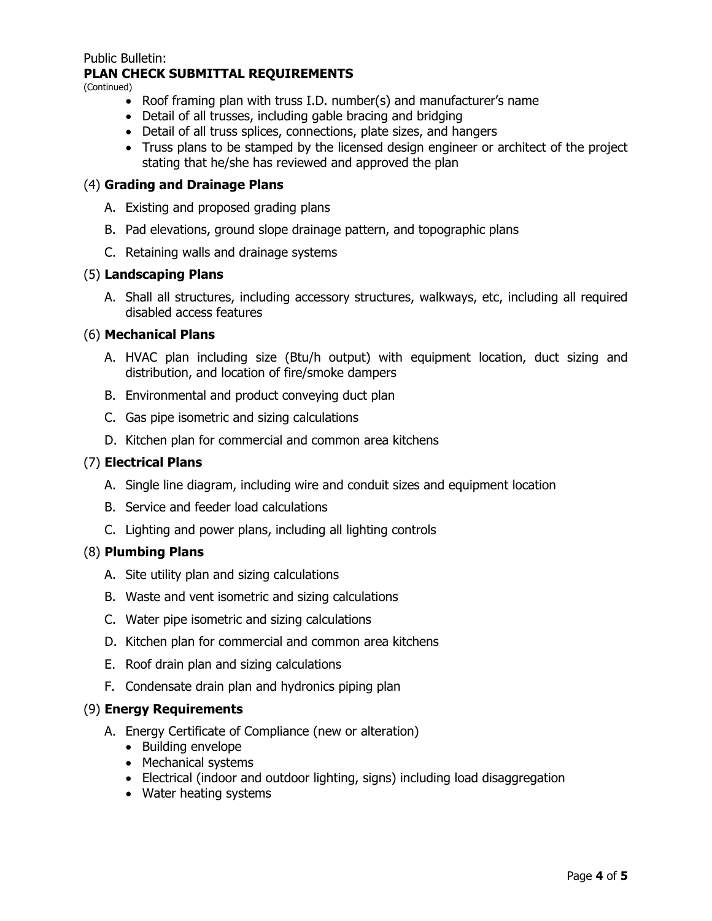#### Public Bulletin:

# **PLAN CHECK SUBMITTAL REQUIREMENTS**

(Continued)

- Roof framing plan with truss I.D. number(s) and manufacturer's name
- Detail of all trusses, including gable bracing and bridging
- Detail of all truss splices, connections, plate sizes, and hangers
- Truss plans to be stamped by the licensed design engineer or architect of the project stating that he/she has reviewed and approved the plan

# (4) **Grading and Drainage Plans**

- A. Existing and proposed grading plans
- B. Pad elevations, ground slope drainage pattern, and topographic plans
- C. Retaining walls and drainage systems

# (5) **Landscaping Plans**

A. Shall all structures, including accessory structures, walkways, etc, including all required disabled access features

# (6) **Mechanical Plans**

- A. HVAC plan including size (Btu/h output) with equipment location, duct sizing and distribution, and location of fire/smoke dampers
- B. Environmental and product conveying duct plan
- C. Gas pipe isometric and sizing calculations
- D. Kitchen plan for commercial and common area kitchens

# (7) **Electrical Plans**

- A. Single line diagram, including wire and conduit sizes and equipment location
- B. Service and feeder load calculations
- C. Lighting and power plans, including all lighting controls

## (8) **Plumbing Plans**

- A. Site utility plan and sizing calculations
- B. Waste and vent isometric and sizing calculations
- C. Water pipe isometric and sizing calculations
- D. Kitchen plan for commercial and common area kitchens
- E. Roof drain plan and sizing calculations
- F. Condensate drain plan and hydronics piping plan

## (9) **Energy Requirements**

- A. Energy Certificate of Compliance (new or alteration)
	- Building envelope
	- Mechanical systems
	- Electrical (indoor and outdoor lighting, signs) including load disaggregation
	- Water heating systems